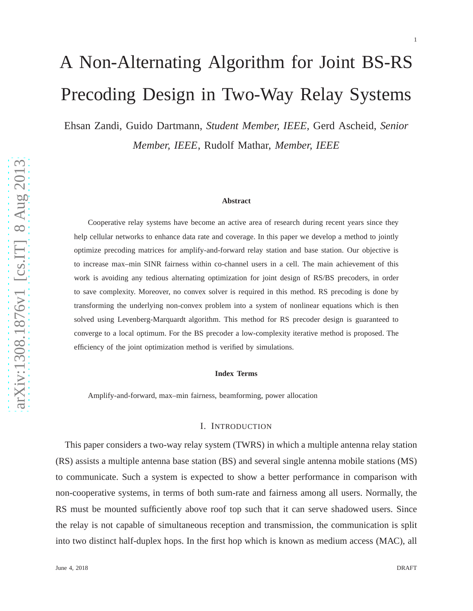# A Non-Alternating Algorithm for Joint BS-RS Precoding Design in Two-Way Relay Systems

Ehsan Zandi, Guido Dartmann, *Student Member, IEEE,* Gerd Ascheid, *Senior Member, IEEE*, Rudolf Mathar, *Member, IEEE*

#### **Abstract**

Cooperative relay systems have become an active area of research during recent years since they help cellular networks to enhance data rate and coverage. In this paper we develop a method to jointly optimize precoding matrices for amplify-and-forward relay station and base station. Our objective is to increase max–min SINR fairness within co-channel users in a cell. The main achievement of this work is avoiding any tedious alternating optimization for joint design of RS/BS precoders, in order to save complexity. Moreover, no convex solver is required in this method. RS precoding is done by transforming the underlying non-convex problem into a system of nonlinear equations which is then solved using Levenberg-Marquardt algorithm. This method for RS precoder design is guaranteed to converge to a local optimum. For the BS precoder a low-complexity iterative method is proposed. The efficiency of the joint optimization method is verified by simulations.

#### **Index Terms**

Amplify-and-forward, max–min fairness, beamforming, power allocation

#### I. INTRODUCTION

This paper considers a two-way relay system (TWRS) in which a multiple antenna relay station (RS) assists a multiple antenna base station (BS) and several single antenna mobile stations (MS) to communicate. Such a system is expected to show a better performance in comparison with non-cooperative systems, in terms of both sum-rate and fairness among all users. Normally, the RS must be mounted sufficiently above roof top such that it can serve shadowed users. Since the relay is not capable of simultaneous reception and transmission, the communication is split into two distinct half-duplex hops. In the first hop which is known as medium access (MAC), all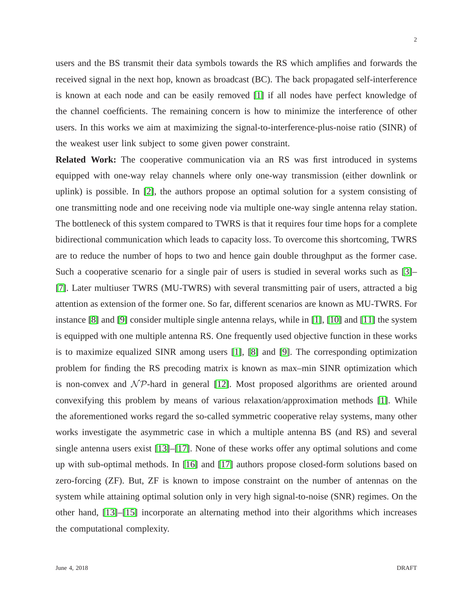users and the BS transmit their data symbols towards the RS which amplifies and forwards the received signal in the next hop, known as broadcast (BC). The back propagated self-interference is known at each node and can be easily removed [\[1\]](#page-10-0) if all nodes have perfect knowledge of the channel coefficients. The remaining concern is how to minimize the interference of other users. In this works we aim at maximizing the signal-to-interference-plus-noise ratio (SINR) of the weakest user link subject to some given power constraint.

**Related Work:** The cooperative communication via an RS was first introduced in systems equipped with one-way relay channels where only one-way transmission (either downlink or uplink) is possible. In [\[2\]](#page-10-1), the authors propose an optimal solution for a system consisting of one transmitting node and one receiving node via multiple one-way single antenna relay station. The bottleneck of this system compared to TWRS is that it requires four time hops for a complete bidirectional communication which leads to capacity loss. To overcome this shortcoming, TWRS are to reduce the number of hops to two and hence gain double throughput as the former case. Such a cooperative scenario for a single pair of users is studied in several works such as [\[3\]](#page-10-2)– [\[7\]](#page-10-3). Later multiuser TWRS (MU-TWRS) with several transmitting pair of users, attracted a big attention as extension of the former one. So far, different scenarios are known as MU-TWRS. For instance [\[8\]](#page-10-4) and [\[9\]](#page-11-0) consider multiple single antenna relays, while in [\[1\]](#page-10-0), [\[10\]](#page-11-1) and [\[11\]](#page-11-2) the system is equipped with one multiple antenna RS. One frequently used objective function in these works is to maximize equalized SINR among users [\[1\]](#page-10-0), [\[8\]](#page-10-4) and [\[9\]](#page-11-0). The corresponding optimization problem for finding the RS precoding matrix is known as max–min SINR optimization which is non-convex and  $\mathcal{NP}$ -hard in general [\[12\]](#page-11-3). Most proposed algorithms are oriented around convexifying this problem by means of various relaxation/approximation methods [\[1\]](#page-10-0). While the aforementioned works regard the so-called symmetric cooperative relay systems, many other works investigate the asymmetric case in which a multiple antenna BS (and RS) and several single antenna users exist [\[13\]](#page-11-4)–[\[17\]](#page-11-5). None of these works offer any optimal solutions and come up with sub-optimal methods. In [\[16\]](#page-11-6) and [\[17\]](#page-11-5) authors propose closed-form solutions based on zero-forcing (ZF). But, ZF is known to impose constraint on the number of antennas on the system while attaining optimal solution only in very high signal-to-noise (SNR) regimes. On the other hand, [\[13\]](#page-11-4)–[\[15\]](#page-11-7) incorporate an alternating method into their algorithms which increases the computational complexity.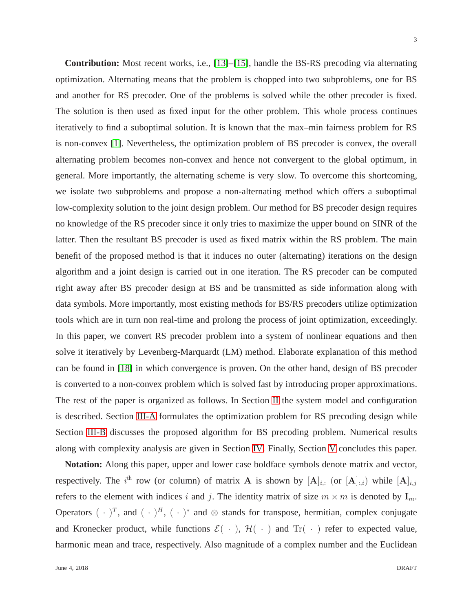**Contribution:** Most recent works, i.e., [\[13\]](#page-11-4)–[\[15\]](#page-11-7), handle the BS-RS precoding via alternating optimization. Alternating means that the problem is chopped into two subproblems, one for BS and another for RS precoder. One of the problems is solved while the other precoder is fixed. The solution is then used as fixed input for the other problem. This whole process continues iteratively to find a suboptimal solution. It is known that the max–min fairness problem for RS is non-convex [\[1\]](#page-10-0). Nevertheless, the optimization problem of BS precoder is convex, the overall alternating problem becomes non-convex and hence not convergent to the global optimum, in general. More importantly, the alternating scheme is very slow. To overcome this shortcoming, we isolate two subproblems and propose a non-alternating method which offers a suboptimal low-complexity solution to the joint design problem. Our method for BS precoder design requires no knowledge of the RS precoder since it only tries to maximize the upper bound on SINR of the latter. Then the resultant BS precoder is used as fixed matrix within the RS problem. The main benefit of the proposed method is that it induces no outer (alternating) iterations on the design algorithm and a joint design is carried out in one iteration. The RS precoder can be computed right away after BS precoder design at BS and be transmitted as side information along with data symbols. More importantly, most existing methods for BS/RS precoders utilize optimization tools which are in turn non real-time and prolong the process of joint optimization, exceedingly. In this paper, we convert RS precoder problem into a system of nonlinear equations and then solve it iteratively by Levenberg-Marquardt (LM) method. Elaborate explanation of this method can be found in [\[18\]](#page-11-8) in which convergence is proven. On the other hand, design of BS precoder is converted to a non-convex problem which is solved fast by introducing proper approximations. The rest of the paper is organized as follows. In Section [II](#page-3-0) the system model and configuration is described. Section [III-A](#page-4-0) formulates the optimization problem for RS precoding design while Section [III-B](#page-6-0) discusses the proposed algorithm for BS precoding problem. Numerical results along with complexity analysis are given in Section [IV.](#page-8-0) Finally, Section [V](#page-10-5) concludes this paper.

**Notation:** Along this paper, upper and lower case boldface symbols denote matrix and vector, respectively. The i<sup>th</sup> row (or column) of matrix A is shown by  $[A]_{i,:}$  (or  $[A]_{:,i}$ ) while  $[A]_{i,j}$ refers to the element with indices i and j. The identity matrix of size  $m \times m$  is denoted by  $I_m$ . Operators  $(\cdot)^T$ , and  $(\cdot)^H$ ,  $(\cdot)^*$  and  $\otimes$  stands for transpose, hermitian, complex conjugate and Kronecker product, while functions  $\mathcal{E}(\cdot)$ ,  $\mathcal{H}(\cdot)$  and  $Tr(\cdot)$  refer to expected value, harmonic mean and trace, respectively. Also magnitude of a complex number and the Euclidean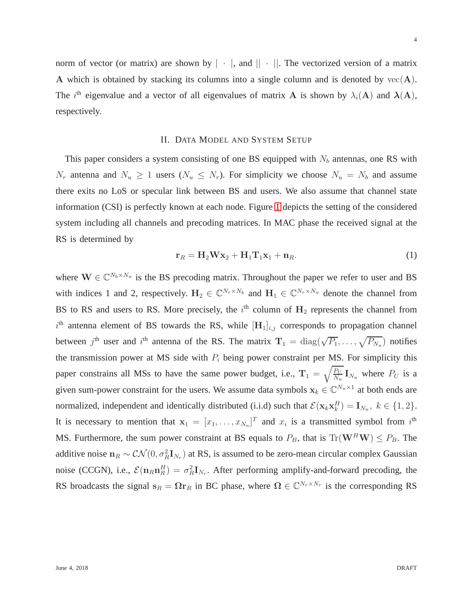norm of vector (or matrix) are shown by  $\|\cdot\|$ , and  $\|\cdot\|$ . The vectorized version of a matrix A which is obtained by stacking its columns into a single column and is denoted by  $vec(A)$ . The i<sup>th</sup> eigenvalue and a vector of all eigenvalues of matrix A is shown by  $\lambda_i(A)$  and  $\lambda(A)$ , respectively.

#### II. DATA MODEL AND SYSTEM SETUP

<span id="page-3-0"></span>This paper considers a system consisting of one BS equipped with  $N_b$  antennas, one RS with  $N_r$  antenna and  $N_u \ge 1$  users  $(N_u \le N_r)$ . For simplicity we choose  $N_u = N_b$  and assume there exits no LoS or specular link between BS and users. We also assume that channel state information (CSI) is perfectly known at each node. Figure [1](#page-12-0) depicts the setting of the considered system including all channels and precoding matrices. In MAC phase the received signal at the RS is determined by

$$
\mathbf{r}_R = \mathbf{H}_2 \mathbf{W} \mathbf{x}_2 + \mathbf{H}_1 \mathbf{T}_1 \mathbf{x}_1 + \mathbf{n}_R. \tag{1}
$$

where  $\mathbf{W} \in \mathbb{C}^{N_b \times N_u}$  is the BS precoding matrix. Throughout the paper we refer to user and BS with indices 1 and 2, respectively.  $H_2 \in \mathbb{C}^{N_r \times N_b}$  and  $H_1 \in \mathbb{C}^{N_r \times N_u}$  denote the channel from BS to RS and users to RS. More precisely, the  $i<sup>th</sup>$  column of  $H_2$  represents the channel from  $i<sup>th</sup>$  antenna element of BS towards the RS, while  $[H_1]_{i,j}$  corresponds to propagation channel between j<sup>th</sup> user and i<sup>th</sup> antenna of the RS. The matrix  $T_1 = diag(\sqrt{P_1}, \ldots, \sqrt{P_{N_u}})$  notifies the transmission power at MS side with  $P_i$  being power constraint per MS. For simplicity this paper constrains all MSs to have the same power budget, i.e.,  $\mathbf{T}_1 = \sqrt{\frac{P_U}{N_M}}$  $\frac{P_U}{N_u}$  **I**<sub>Nu</sub> where  $P_U$  is a given sum-power constraint for the users. We assume data symbols  $x_k \in \mathbb{C}^{N_u \times 1}$  at both ends are normalized, independent and identically distributed (i.i.d) such that  $\mathcal{E}(\mathbf{x}_k \mathbf{x}_k^H) = \mathbf{I}_{N_u}, k \in \{1, 2\}$ . It is necessary to mention that  $x_1 = [x_1, \ldots, x_{N_u}]^T$  and  $x_i$  is a transmitted symbol from  $i^{\text{th}}$ MS. Furthermore, the sum power constraint at BS equals to  $P_B$ , that is Tr( $W^H W$ )  $\le P_B$ . The additive noise  $n_R \sim \mathcal{CN}(0, \sigma_R^2 \mathbf{I}_{N_r})$  at RS, is assumed to be zero-mean circular complex Gaussian noise (CCGN), i.e.,  $\mathcal{E}(\mathbf{n}_R \mathbf{n}_R^H) = \sigma_R^2 \mathbf{I}_{N_r}$ . After performing amplify-and-forward precoding, the RS broadcasts the signal  $s_R = \Omega r_R$  in BC phase, where  $\Omega \in \mathbb{C}^{N_r \times N_r}$  is the corresponding RS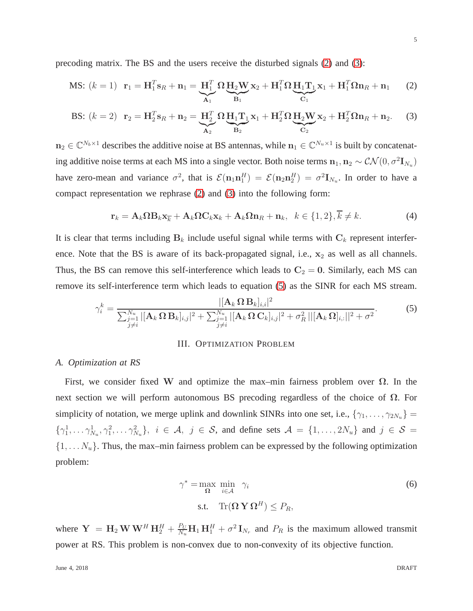precoding matrix. The BS and the users receive the disturbed signals [\(2\)](#page-4-1) and [\(3\)](#page-4-2):

$$
\text{MS: } (k=1) \quad \mathbf{r}_1 = \mathbf{H}_1^T \mathbf{s}_R + \mathbf{n}_1 = \underbrace{\mathbf{H}_1^T}_{\mathbf{A}_1} \Omega \underbrace{\mathbf{H}_2 \mathbf{W}}_{\mathbf{B}_1} \mathbf{x}_2 + \mathbf{H}_1^T \Omega \underbrace{\mathbf{H}_1 \mathbf{T}_1}_{\mathbf{C}_1} \mathbf{x}_1 + \mathbf{H}_1^T \Omega \mathbf{n}_R + \mathbf{n}_1 \tag{2}
$$

$$
\text{BS: } (k=2) \quad \mathbf{r}_2 = \mathbf{H}_2^T \mathbf{s}_R + \mathbf{n}_2 = \underbrace{\mathbf{H}_2^T}_{\mathbf{A}_2} \Omega \underbrace{\mathbf{H}_1 \mathbf{T}_1}_{\mathbf{B}_2} \mathbf{x}_1 + \mathbf{H}_2^T \Omega \underbrace{\mathbf{H}_2 \mathbf{W}}_{\mathbf{C}_2} \mathbf{x}_2 + \mathbf{H}_2^T \Omega \mathbf{n}_R + \mathbf{n}_2. \tag{3}
$$

 $n_2 \in \mathbb{C}^{N_b \times 1}$  describes the additive noise at BS antennas, while  $n_1 \in \mathbb{C}^{N_u \times 1}$  is built by concatenating additive noise terms at each MS into a single vector. Both noise terms  $n_1, n_2 \sim \mathcal{CN}(0, \sigma^2 \mathbf{I}_{N_u})$ have zero-mean and variance  $\sigma^2$ , that is  $\mathcal{E}(\mathbf{n}_1 \mathbf{n}_1^H) = \mathcal{E}(\mathbf{n}_2 \mathbf{n}_2^H) = \sigma^2 \mathbf{I}_{N_u}$ . In order to have a compact representation we rephrase [\(2\)](#page-4-1) and [\(3\)](#page-4-2) into the following form:

<span id="page-4-2"></span><span id="page-4-1"></span>
$$
\mathbf{r}_k = \mathbf{A}_k \mathbf{\Omega} \mathbf{B}_k \mathbf{x}_{\overline{k}} + \mathbf{A}_k \mathbf{\Omega} \mathbf{C}_k \mathbf{x}_k + \mathbf{A}_k \mathbf{\Omega} \mathbf{n}_R + \mathbf{n}_k, \ \ k \in \{1, 2\}, \overline{k} \neq k. \tag{4}
$$

It is clear that terms including  $B_k$  include useful signal while terms with  $C_k$  represent interference. Note that the BS is aware of its back-propagated signal, i.e.,  $x_2$  as well as all channels. Thus, the BS can remove this self-interference which leads to  $C_2 = 0$ . Similarly, each MS can remove its self-interference term which leads to equation [\(5\)](#page-4-3) as the SINR for each MS stream.

$$
\gamma_i^k = \frac{|[\mathbf{A}_k \, \Omega \, \mathbf{B}_k]_{i,i}|^2}{\sum_{\substack{j=1 \\ j \neq i}}^{N_u} |[\mathbf{A}_k \, \Omega \, \mathbf{B}_k]_{i,j}|^2 + \sum_{\substack{j=1 \\ j \neq i}}^{N_u} |[\mathbf{A}_k \, \Omega \, \mathbf{C}_k]_{i,j}|^2 + \sigma_R^2 ||[\mathbf{A}_k \, \Omega]_{i,:}||^2 + \sigma^2}.
$$
 (5)

## <span id="page-4-3"></span>III. OPTIMIZATION PROBLEM

## <span id="page-4-0"></span>*A. Optimization at RS*

First, we consider fixed W and optimize the max–min fairness problem over  $\Omega$ . In the next section we will perform autonomous BS precoding regardless of the choice of  $\Omega$ . For simplicity of notation, we merge uplink and downlink SINRs into one set, i.e.,  $\{\gamma_1, \ldots, \gamma_{2N_u}\}$  $\{\gamma_1^1,\ldots,\gamma_{N_u}^1,\gamma_1^2,\ldots,\gamma_{N_u}^2\},\ i\in\mathcal{A},\ j\in\mathcal{S},\ \text{and define sets}\ \mathcal{A}=\{1,\ldots,2N_u\}\ \text{and}\ j\in\mathcal{S}=\emptyset$  $\{1, \ldots N_u\}$ . Thus, the max–min fairness problem can be expressed by the following optimization problem:

<span id="page-4-4"></span>
$$
\gamma^* = \max_{\Omega} \min_{i \in \mathcal{A}} \gamma_i
$$
  
s.t. 
$$
\text{Tr}(\Omega \mathbf{Y} \Omega^H) \le P_R,
$$
 (6)

where  $Y = H_2 W W^H H_2^H + \frac{P_U}{N_u} H_1 H_1^H + \sigma^2 I_{N_r}$  and  $P_R$  is the maximum allowed transmit power at RS. This problem is non-convex due to non-convexity of its objective function.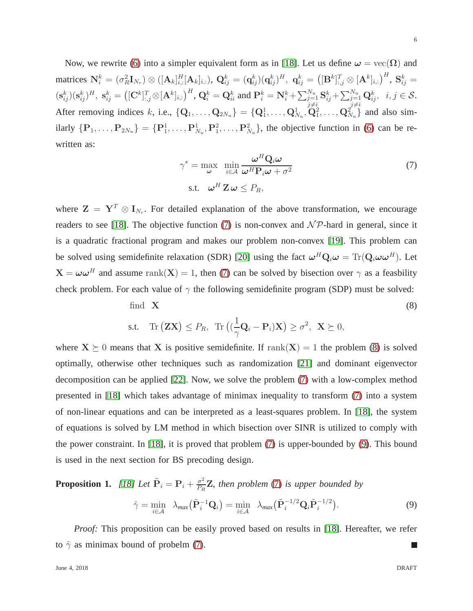Now, we rewrite [\(6\)](#page-4-4) into a simpler equivalent form as in [\[18\]](#page-11-8). Let us define  $\omega = \text{vec}(\Omega)$  and matrices  $\mathbf{N}_i^k=(\sigma_R^2\mathbf{I}_{N_r})\otimes([\mathbf{A}_k]_{i,:}^H[\mathbf{A}_k]_{i,:}),\ \mathbf{Q}_{ij}^k=(\mathbf{q}_{ij}^k)(\mathbf{q}_{ij}^k)^H,\ \mathbf{q}_{ij}^k=\left([\mathbf{B}^k]_{:,j}^T\otimes[\mathbf{A}^k]_{i,:}\right)^H\!,\ \mathbf{S}_{ij}^k=$  $(\mathbf{s}_{ij}^k)(\mathbf{s}_{ij}^k)^H$ ,  $\mathbf{s}_{ij}^k = ([\mathbf{C}^k]_{i,j}^T \otimes [\mathbf{A}^k]_{i,j})^H$ ,  $\mathbf{Q}_i^k = \mathbf{Q}_{ii}^k$  and  $\mathbf{P}_i^k = \mathbf{N}_i^k + \sum_{j=1}^{N_u} \mathbf{S}_{ij}^k + \sum_{j=1}^{N_u} \mathbf{Q}_{ij}^k$ ,  $i, j \in \mathcal{S}$ . After removing indices k, i.e.,  $\{Q_1, \ldots, Q_{2N_u}\} = \{Q_1^1, \ldots, Q_{N_u}^1, \overline{Q}_1^2, \ldots, Q_{N_u}^{2j \neq i}\}$  and also similarly  $\{P_1,\ldots,P_{2N_u}\}=\{P_1^1,\ldots,P_{N_u}^1,P_1^2,\ldots,P_{N_u}^2\}$ , the objective function in [\(6\)](#page-4-4) can be rewritten as:

<span id="page-5-1"></span><span id="page-5-0"></span>
$$
\gamma^* = \max_{\omega} \min_{i \in \mathcal{A}} \frac{\omega^H \mathbf{Q}_i \omega}{\omega^H \mathbf{P}_i \omega + \sigma^2}
$$
  
s.t.  $\omega^H \mathbf{Z} \omega \le P_R$ , (7)

where  $\mathbf{Z} = \mathbf{Y}^T \otimes \mathbf{I}_{N_r}$ . For detailed explanation of the above transformation, we encourage readers to see [\[18\]](#page-11-8). The objective function [\(7\)](#page-5-0) is non-convex and  $\mathcal{NP}$ -hard in general, since it is a quadratic fractional program and makes our problem non-convex [\[19\]](#page-11-9). This problem can be solved using semidefinite relaxation (SDR) [\[20\]](#page-11-10) using the fact  $\omega^H Q_i \omega = \text{Tr}(Q_i \omega \omega^H)$ . Let  $X = \omega \omega^H$  and assume rank $(X) = 1$ , then [\(7\)](#page-5-0) can be solved by bisection over  $\gamma$  as a feasbility check problem. For each value of  $\gamma$  the following semidefinite program (SDP) must be solved:

find 
$$
\mathbf{X} \tag{8}
$$

$$
\text{s.t.} \quad \text{Tr}\left(\mathbf{Z}\mathbf{X}\right) \leq P_R, \ \text{Tr}\left((\frac{1}{\gamma}\mathbf{Q}_i - \mathbf{P}_i)\mathbf{X}\right) \geq \sigma^2, \ \mathbf{X} \succeq 0,
$$

where  $X \succeq 0$  means that X is positive semidefinite. If rank $(X) = 1$  the problem [\(8\)](#page-5-1) is solved optimally, otherwise other techniques such as randomization [\[21\]](#page-11-11) and dominant eigenvector decomposition can be applied [\[22\]](#page-11-12). Now, we solve the problem [\(7\)](#page-5-0) with a low-complex method presented in [\[18\]](#page-11-8) which takes advantage of minimax inequality to transform [\(7\)](#page-5-0) into a system of non-linear equations and can be interpreted as a least-squares problem. In [\[18\]](#page-11-8), the system of equations is solved by LM method in which bisection over SINR is utilized to comply with the power constraint. In [\[18\]](#page-11-8), it is proved that problem [\(7\)](#page-5-0) is upper-bounded by [\(9\)](#page-5-2). This bound is used in the next section for BS precoding design.

<span id="page-5-3"></span>**Proposition 1.** [\[18\]](#page-11-8) Let  $\tilde{P}_i = P_i + \frac{\sigma^2}{P_E}$  $\frac{\sigma^2}{P_R}$ **Z**, then problem [\(7\)](#page-5-0) is upper bounded by

<span id="page-5-2"></span>
$$
\hat{\gamma} = \min_{i \in \mathcal{A}} \ \lambda_{max} (\tilde{\mathbf{P}}_i^{-1} \mathbf{Q}_i) = \min_{i \in \mathcal{A}} \ \lambda_{max} (\tilde{\mathbf{P}}_i^{-1/2} \mathbf{Q}_i \tilde{\mathbf{P}}_i^{-1/2}). \tag{9}
$$

*Proof:* This proposition can be easily proved based on results in [\[18\]](#page-11-8). Hereafter, we refer to  $\hat{\gamma}$  as minimax bound of probelm [\(7\)](#page-5-0).  $\overline{\phantom{a}}$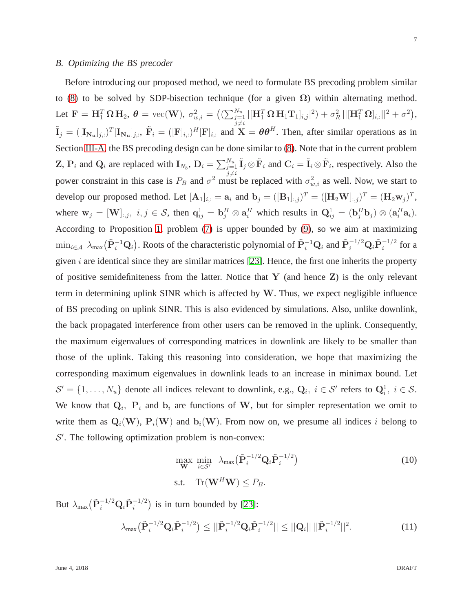## <span id="page-6-0"></span>*B. Optimizing the BS precoder*

Before introducing our proposed method, we need to formulate BS precoding problem similar to [\(8\)](#page-5-1) to be solved by SDP-bisection technique (for a given  $\Omega$ ) within alternating method. Let  $\mathbf{F} = \mathbf{H}_{1}^{T} \mathbf{\Omega} \, \mathbf{H}_{2}, \ \boldsymbol{\theta} = \text{vec}(\mathbf{W}), \ \sigma^{2}_{w,i} = \big( (\sum_{j=1}^{N_{u}})$  $\frac{N_u}{j=1} \, |[\mathbf{H}_{1}^T\, \boldsymbol{\Omega}\, \mathbf{H}_{1} \mathbf{T}_{1}]_{i,j} |^2) + \sigma_R^2 \, ||[\mathbf{H}_{1}^T\, \boldsymbol{\Omega}]_{i,:} ||^2 + \sigma^2 \big),$  $\tilde{\mathbf{I}}_j = ([\mathbf{I}_{\mathbf{N_u}}]_{j,:})^T [\mathbf{I}_{\mathbf{N_u}}]_{j,:}, \tilde{\mathbf{F}}_i = ([\mathbf{F}]_{i,:})^H [\mathbf{F}]_{i,:}$  and  $\mathbf{X} = \boldsymbol{\theta} \boldsymbol{\theta}^H$ . Then, after similar operations as in Section [III-A,](#page-4-0) the BS precoding design can be done similar to [\(8\)](#page-5-1). Note that in the current problem **Z**,  $P_i$  and  $Q_i$  are replaced with  $I_{N_b}$ ,  $D_i = \sum_{j=1}^{N_u}$  $\sum_{\substack{j=1 \ j \neq i}}^{N_u} \tilde{\mathbf{I}}_j \otimes \tilde{\mathbf{F}}_i$  and  $\mathbf{C}_i = \tilde{\mathbf{I}}_i \otimes \tilde{\mathbf{F}}_i$ , respectively. Also the power constraint in this case is  $P_B$  and  $\sigma^2$  must be replaced with  $\sigma_{w,i}^2$  as well. Now, we start to develop our proposed method. Let  $[\mathbf{A}_1]_{i,:} = \mathbf{a}_i$  and  $\mathbf{b}_j = ([\mathbf{B}_1]_{:,j})^T = ([\mathbf{H}_2 \mathbf{W}]_{:,j})^T = (\mathbf{H}_2 \mathbf{w}_j)^T$ , where  $\mathbf{w}_j = [\mathbf{W}]_{:,j}, i,j \in \mathcal{S}$ , then  $\mathbf{q}_{ij}^1 = \mathbf{b}_j^H \otimes \mathbf{a}_i^H$  which results in  $\mathbf{Q}_{ij}^1 = (\mathbf{b}_j^H \mathbf{b}_j) \otimes (\mathbf{a}_i^H \mathbf{a}_i)$ . According to Proposition [1,](#page-5-3) problem [\(7\)](#page-5-0) is upper bounded by [\(9\)](#page-5-2), so we aim at maximizing  $\min_{i\in\mathcal{A}}\ \lambda_{\max}\big(\tilde{\mathbf{P}}_i^{-1}\mathbf{Q}_i\big)$ . Roots of the characteristic polynomial of  $\tilde{\mathbf{P}}_i^{-1}\mathbf{Q}_i$  and  $\tilde{\mathbf{P}}_i^{-1/2}\mathbf{Q}_i\tilde{\mathbf{P}}_i^{-1/2}$  for a given  $i$  are identical since they are similar matrices [\[23\]](#page-11-13). Hence, the first one inherits the property of positive semidefiniteness from the latter. Notice that  $\bf{Y}$  (and hence  $\bf{Z}$ ) is the only relevant term in determining uplink SINR which is affected by  $W$ . Thus, we expect negligible influence of BS precoding on uplink SINR. This is also evidenced by simulations. Also, unlike downlink, the back propagated interference from other users can be removed in the uplink. Consequently, the maximum eigenvalues of corresponding matrices in downlink are likely to be smaller than those of the uplink. Taking this reasoning into consideration, we hope that maximizing the corresponding maximum eigenvalues in downlink leads to an increase in minimax bound. Let  $S' = \{1, \ldots, N_u\}$  denote all indices relevant to downlink, e.g.,  $Q_i$ ,  $i \in S'$  refers to  $Q_i^1$ ,  $i \in S$ . We know that  $Q_i$ ,  $P_i$  and  $b_i$  are functions of W, but for simpler representation we omit to write them as  $Q_i(W)$ ,  $P_i(W)$  and  $b_i(W)$ . From now on, we presume all indices i belong to S ′ . The following optimization problem is non-convex:

<span id="page-6-2"></span>
$$
\max_{\mathbf{W}} \min_{i \in S'} \lambda_{\max} (\tilde{\mathbf{P}}_i^{-1/2} \mathbf{Q}_i \tilde{\mathbf{P}}_i^{-1/2})
$$
\n
$$
\text{s.t.} \quad \text{Tr}(\mathbf{W}^H \mathbf{W}) \le P_B.
$$
\n(10)

But  $\lambda_{\text{max}}(\tilde{\mathbf{P}}_i^{-1/2}\mathbf{Q}_i\tilde{\mathbf{P}}_i^{-1/2})$  is in turn bounded by [\[23\]](#page-11-13):

<span id="page-6-1"></span>
$$
\lambda_{\max} \big( \tilde{\mathbf{P}}_i^{-1/2} \mathbf{Q}_i \tilde{\mathbf{P}}_i^{-1/2} \big) \leq ||\tilde{\mathbf{P}}_i^{-1/2} \mathbf{Q}_i \tilde{\mathbf{P}}_i^{-1/2}|| \leq ||\mathbf{Q}_i|| \, ||\tilde{\mathbf{P}}_i^{-1/2}||^2. \tag{11}
$$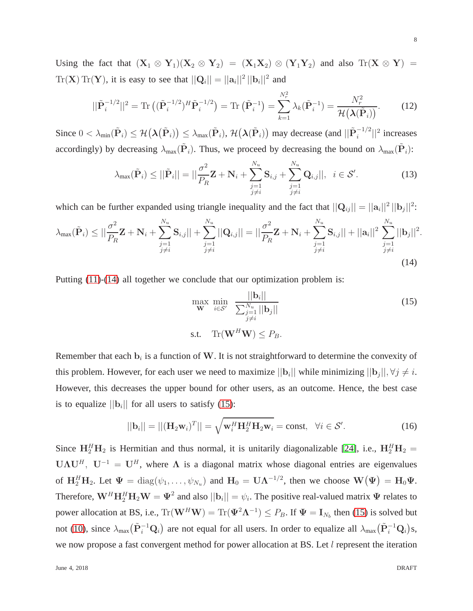Using the fact that  $(X_1 \otimes Y_1)(X_2 \otimes Y_2) = (X_1X_2) \otimes (Y_1Y_2)$  and also  $Tr(X \otimes Y) =$  $\text{Tr}(\mathbf{X}) \text{Tr}(\mathbf{Y})$ , it is easy to see that  $||\mathbf{Q}_i|| = ||\mathbf{a}_i||^2 ||\mathbf{b}_i||^2$  and

$$
||\tilde{\mathbf{P}}_i^{-1/2}||^2 = \text{Tr}\left((\tilde{\mathbf{P}}_i^{-1/2})^H \tilde{\mathbf{P}}_i^{-1/2}\right) = \text{Tr}\left(\tilde{\mathbf{P}}_i^{-1}\right) = \sum_{k=1}^{N_r^2} \lambda_k(\tilde{\mathbf{P}}_i^{-1}) = \frac{N_r^2}{\mathcal{H}\left(\lambda(\tilde{\mathbf{P}}_i)\right)}.
$$
 (12)

Since  $0 < \lambda_{\min}(\tilde{\mathbf{P}}_i) \leq \mathcal{H}(\boldsymbol{\lambda}(\tilde{\mathbf{P}}_i)) \leq \lambda_{\max}(\tilde{\mathbf{P}}_i)$ ,  $\mathcal{H}(\boldsymbol{\lambda}(\tilde{\mathbf{P}}_i))$  may decrease (and  $||\tilde{\mathbf{P}}_i^{-1/2}||^2$  increases accordingly) by decreasing  $\lambda_{\max}(\tilde{P}_i)$ . Thus, we proceed by decreasing the bound on  $\lambda_{\max}(\tilde{P}_i)$ :

$$
\lambda_{\max}(\tilde{\mathbf{P}}_i) \le ||\tilde{\mathbf{P}}_i|| = ||\frac{\sigma^2}{P_R}\mathbf{Z} + \mathbf{N}_i + \sum_{\substack{j=1 \ j \neq i}}^{N_u} \mathbf{S}_{i,j} + \sum_{\substack{j=1 \ j \neq i}}^{N_u} \mathbf{Q}_{i,j}||, \quad i \in \mathcal{S}'. \tag{13}
$$

which can be further expanded using triangle inequality and the fact that  $||\mathbf{Q}_{ij}|| = ||\mathbf{a}_i||^2 ||\mathbf{b}_j||^2$ :

$$
\lambda_{\max}(\tilde{\mathbf{P}}_i) \leq ||\frac{\sigma^2}{P_R}\mathbf{Z} + \mathbf{N}_i + \sum_{\substack{j=1 \ j \neq i}}^{N_u} \mathbf{S}_{i,j}|| + \sum_{\substack{j=1 \ j \neq i}}^{N_u} ||\mathbf{Q}_{i,j}|| = ||\frac{\sigma^2}{P_R}\mathbf{Z} + \mathbf{N}_i + \sum_{\substack{j=1 \ j \neq i}}^{N_u} \mathbf{S}_{i,j}|| + ||\mathbf{a}_i||^2 \sum_{\substack{j=1 \ j \neq i}}^{N_u} ||\mathbf{b}_j||^2.
$$
\n(14)

Putting [\(11\)](#page-6-1)-[\(14\)](#page-7-0) all together we conclude that our optimization problem is:

<span id="page-7-1"></span>
$$
\max_{\mathbf{W}} \min_{i \in \mathcal{S}'} \frac{||\mathbf{b}_i||}{\sum_{\substack{j=1 \\ j \neq i}}^{N_u} ||\mathbf{b}_j||}
$$
\n
$$
\text{s.t.} \quad \text{Tr}(\mathbf{W}^H \mathbf{W}) \le P_B.
$$
\n(15)

Remember that each  $\mathbf{b}_i$  is a function of W. It is not straightforward to determine the convexity of this problem. However, for each user we need to maximize  $||\mathbf{b}_i||$  while minimizing  $||\mathbf{b}_j||$ ,  $\forall j \neq i$ . However, this decreases the upper bound for other users, as an outcome. Hence, the best case is to equalize  $||\mathbf{b}_i||$  for all users to satisfy [\(15\)](#page-7-1):

$$
||\mathbf{b}_i|| = ||(\mathbf{H}_2 \mathbf{w}_i)^T|| = \sqrt{\mathbf{w}_i^H \mathbf{H}_2^H \mathbf{H}_2 \mathbf{w}_i} = \text{const}, \quad \forall i \in \mathcal{S}'. \tag{16}
$$

Since  $H_2^H H_2$  is Hermitian and thus normal, it is unitarily diagonalizable [\[24\]](#page-11-14), i.e.,  $H_2^H H_2 =$ UΛU<sup>H</sup>, U<sup>-1</sup> = U<sup>H</sup>, where Λ is a diagonal matrix whose diagonal entries are eigenvalues of  $\mathbf{H}_{2}^{H}\mathbf{H}_{2}$ . Let  $\Psi = \text{diag}(\psi_{1}, \ldots, \psi_{N_u})$  and  $\mathbf{H}_{0} = \mathbf{U}\mathbf{\Lambda}^{-1/2}$ , then we choose  $\mathbf{W}\big(\Psi\big) = \mathbf{H}_{0}\Psi$ . Therefore,  $W^H H_2^H H_2 W = \Psi^2$  and also  $||b_i|| = \psi_i$ . The positive real-valued matrix  $\Psi$  relates to power allocation at BS, i.e.,  $\text{Tr}(\mathbf{W}^H \mathbf{W}) = \text{Tr}(\mathbf{\Psi}^2 \mathbf{\Lambda}^{-1}) \le P_B$ . If  $\mathbf{\Psi} = \mathbf{I}_{N_b}$  then [\(15\)](#page-7-1) is solved but not [\(10\)](#page-6-2), since  $\lambda_{\max}(\tilde{\mathbf{P}}_i^{-1}\mathbf{Q}_i)$  are not equal for all users. In order to equalize all  $\lambda_{\max}(\tilde{\mathbf{P}}_i^{-1}\mathbf{Q}_i)$ s, we now propose a fast convergent method for power allocation at BS. Let l represent the iteration

June 4, 2018 DRAFT

<span id="page-7-0"></span>8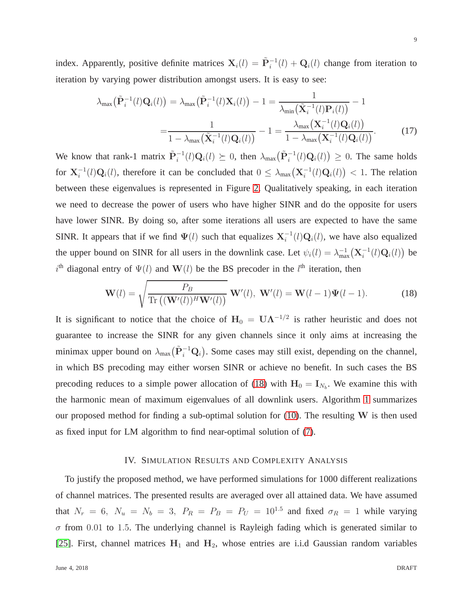index. Apparently, positive definite matrices  $X_i(l) = \tilde{P}_i^{-1}(l) + Q_i(l)$  change from iteration to iteration by varying power distribution amongst users. It is easy to see:

$$
\lambda_{\max}\big(\tilde{\mathbf{P}}_{i}^{-1}(l)\mathbf{Q}_{i}(l)\big) = \lambda_{\max}\big(\tilde{\mathbf{P}}_{i}^{-1}(l)\mathbf{X}_{i}(l)\big) - 1 = \frac{1}{\lambda_{\min}\big(\tilde{\mathbf{X}}_{i}^{-1}(l)\mathbf{P}_{i}(l)\big)} - 1
$$

$$
= \frac{1}{1 - \lambda_{\max}\big(\tilde{\mathbf{X}}_{i}^{-1}(l)\mathbf{Q}_{i}(l)\big)} - 1 = \frac{\lambda_{\max}\big(\mathbf{X}_{i}^{-1}(l)\mathbf{Q}_{i}(l)\big)}{1 - \lambda_{\max}\big(\mathbf{X}_{i}^{-1}(l)\mathbf{Q}_{i}(l)\big)}.
$$
(17)

We know that rank-1 matrix  $\tilde{P}_i^{-1}(l)Q_i(l) \succeq 0$ , then  $\lambda_{max}(\tilde{P}_i^{-1}(l)Q_i(l)) \geq 0$ . The same holds for  $X_i^{-1}(l)Q_i(l)$ , therefore it can be concluded that  $0 \leq \lambda_{\max}\big(X_i^{-1}(l)Q_i(l)\big) < 1$ . The relation between these eigenvalues is represented in Figure [2.](#page-13-0) Qualitatively speaking, in each iteration we need to decrease the power of users who have higher SINR and do the opposite for users have lower SINR. By doing so, after some iterations all users are expected to have the same SINR. It appears that if we find  $\Psi(l)$  such that equalizes  $X_i^{-1}(l)Q_i(l)$ , we have also equalized the upper bound on SINR for all users in the downlink case. Let  $\psi_i(l) = \lambda_{\max}^{-1} (\mathbf{X}_i^{-1}(l) \mathbf{Q}_i(l))$  be  $i<sup>th</sup>$  diagonal entry of  $\Psi(l)$  and  $W(l)$  be the BS precoder in the  $l<sup>th</sup>$  iteration, then

$$
\mathbf{W}(l) = \sqrt{\frac{P_B}{\text{Tr}\left((\mathbf{W}'(l))^H \mathbf{W}'(l)\right)}} \mathbf{W}'(l), \mathbf{W}'(l) = \mathbf{W}(l-1)\mathbf{\Psi}(l-1). \tag{18}
$$

It is significant to notice that the choice of  $H_0 = U\Lambda^{-1/2}$  is rather heuristic and does not guarantee to increase the SINR for any given channels since it only aims at increasing the minimax upper bound on  $\lambda_{\max}(\tilde{\mathbf{P}}_i^{-1}\mathbf{Q}_i)$ . Some cases may still exist, depending on the channel, in which BS precoding may either worsen SINR or achieve no benefit. In such cases the BS precoding reduces to a simple power allocation of [\(18\)](#page-8-1) with  $H_0 = I_{N_b}$ . We examine this with the harmonic mean of maximum eigenvalues of all downlink users. Algorithm [1](#page-17-0) summarizes our proposed method for finding a sub-optimal solution for  $(10)$ . The resulting W is then used as fixed input for LM algorithm to find near-optimal solution of [\(7\)](#page-5-0).

#### IV. SIMULATION RESULTS AND COMPLEXITY ANALYSIS

<span id="page-8-0"></span>To justify the proposed method, we have performed simulations for 1000 different realizations of channel matrices. The presented results are averaged over all attained data. We have assumed that  $N_r = 6$ ,  $N_u = N_b = 3$ ,  $P_R = P_B = P_U = 10^{1.5}$  and fixed  $\sigma_R = 1$  while varying  $\sigma$  from 0.01 to 1.5. The underlying channel is Rayleigh fading which is generated similar to [\[25\]](#page-11-15). First, channel matrices  $H_1$  and  $H_2$ , whose entries are i.i.d Gaussian random variables

<span id="page-8-1"></span>9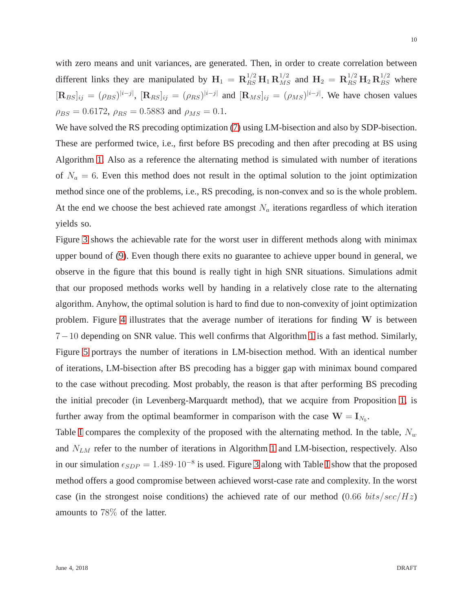with zero means and unit variances, are generated. Then, in order to create correlation between different links they are manipulated by  $H_1 = \mathbf{R}_{RS}^{1/2} \mathbf{H}_1 \mathbf{R}_{MS}^{1/2}$  and  $H_2 = \mathbf{R}_{RS}^{1/2} \mathbf{H}_2 \mathbf{R}_{BS}^{1/2}$  where  $[\mathbf{R}_{BS}]_{ij} = (\rho_{BS})^{|i-j|}$ ,  $[\mathbf{R}_{RS}]_{ij} = (\rho_{RS})^{|i-j|}$  and  $[\mathbf{R}_{MS}]_{ij} = (\rho_{MS})^{|i-j|}$ . We have chosen values  $\rho_{BS} = 0.6172$ ,  $\rho_{RS} = 0.5883$  and  $\rho_{MS} = 0.1$ .

We have solved the RS precoding optimization [\(7\)](#page-5-0) using LM-bisection and also by SDP-bisection. These are performed twice, i.e., first before BS precoding and then after precoding at BS using Algorithm [1.](#page-17-0) Also as a reference the alternating method is simulated with number of iterations of  $N_a = 6$ . Even this method does not result in the optimal solution to the joint optimization method since one of the problems, i.e., RS precoding, is non-convex and so is the whole problem. At the end we choose the best achieved rate amongst  $N_a$  iterations regardless of which iteration yields so.

Figure [3](#page-14-0) shows the achievable rate for the worst user in different methods along with minimax upper bound of [\(9\)](#page-5-2). Even though there exits no guarantee to achieve upper bound in general, we observe in the figure that this bound is really tight in high SNR situations. Simulations admit that our proposed methods works well by handing in a relatively close rate to the alternating algorithm. Anyhow, the optimal solution is hard to find due to non-convexity of joint optimization problem. Figure [4](#page-15-0) illustrates that the average number of iterations for finding W is between 7−10 depending on SNR value. This well confirms that Algorithm [1](#page-17-0) is a fast method. Similarly, Figure [5](#page-16-0) portrays the number of iterations in LM-bisection method. With an identical number of iterations, LM-bisection after BS precoding has a bigger gap with minimax bound compared to the case without precoding. Most probably, the reason is that after performing BS precoding the initial precoder (in Levenberg-Marquardt method), that we acquire from Proposition [1,](#page-5-3) is further away from the optimal beamformer in comparison with the case  $W = I_{N_b}$ .

Table [I](#page-12-1) compares the complexity of the proposed with the alternating method. In the table,  $N_w$ and  $N_{LM}$  refer to the number of iterations in Algorithm [1](#page-17-0) and LM-bisection, respectively. Also in our simulation  $\epsilon_{SDP} = 1.489 \cdot 10^{-8}$  is used. Figure [3](#page-14-0) along with Table [I](#page-12-1) show that the proposed method offers a good compromise between achieved worst-case rate and complexity. In the worst case (in the strongest noise conditions) the achieved rate of our method  $(0.66 \; bits/sec/Hz)$ amounts to 78% of the latter.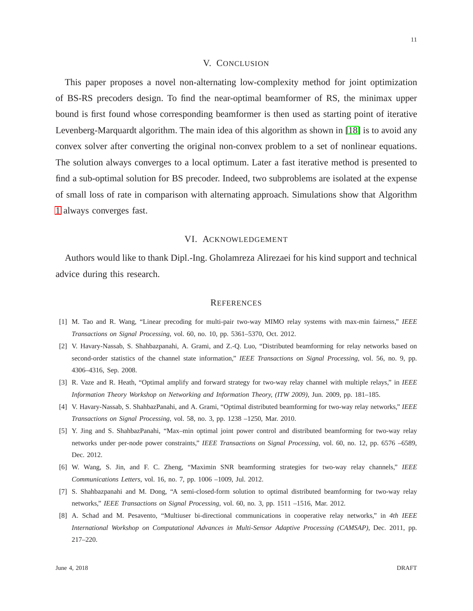#### V. CONCLUSION

<span id="page-10-5"></span>This paper proposes a novel non-alternating low-complexity method for joint optimization of BS-RS precoders design. To find the near-optimal beamformer of RS, the minimax upper bound is first found whose corresponding beamformer is then used as starting point of iterative Levenberg-Marquardt algorithm. The main idea of this algorithm as shown in [\[18\]](#page-11-8) is to avoid any convex solver after converting the original non-convex problem to a set of nonlinear equations. The solution always converges to a local optimum. Later a fast iterative method is presented to find a sub-optimal solution for BS precoder. Indeed, two subproblems are isolated at the expense of small loss of rate in comparison with alternating approach. Simulations show that Algorithm [1](#page-17-0) always converges fast.

## VI. ACKNOWLEDGEMENT

Authors would like to thank Dipl.-Ing. Gholamreza Alirezaei for his kind support and technical advice during this research.

#### **REFERENCES**

- <span id="page-10-1"></span><span id="page-10-0"></span>[1] M. Tao and R. Wang, "Linear precoding for multi-pair two-way MIMO relay systems with max-min fairness," *IEEE Transactions on Signal Processing*, vol. 60, no. 10, pp. 5361–5370, Oct. 2012.
- [2] V. Havary-Nassab, S. Shahbazpanahi, A. Grami, and Z.-Q. Luo, "Distributed beamforming for relay networks based on second-order statistics of the channel state information," *IEEE Transactions on Signal Processing*, vol. 56, no. 9, pp. 4306–4316, Sep. 2008.
- <span id="page-10-2"></span>[3] R. Vaze and R. Heath, "Optimal amplify and forward strategy for two-way relay channel with multiple relays," in *IEEE Information Theory Workshop on Networking and Information Theory, (ITW 2009)*, Jun. 2009, pp. 181–185.
- [4] V. Havary-Nassab, S. ShahbazPanahi, and A. Grami, "Optimal distributed beamforming for two-way relay networks," *IEEE Transactions on Signal Processing*, vol. 58, no. 3, pp. 1238 –1250, Mar. 2010.
- [5] Y. Jing and S. ShahbazPanahi, "Max–min optimal joint power control and distributed beamforming for two-way relay networks under per-node power constraints," *IEEE Transactions on Signal Processing*, vol. 60, no. 12, pp. 6576 –6589, Dec. 2012.
- <span id="page-10-3"></span>[6] W. Wang, S. Jin, and F. C. Zheng, "Maximin SNR beamforming strategies for two-way relay channels," *IEEE Communications Letters*, vol. 16, no. 7, pp. 1006 –1009, Jul. 2012.
- <span id="page-10-4"></span>[7] S. Shahbazpanahi and M. Dong, "A semi-closed-form solution to optimal distributed beamforming for two-way relay networks," *IEEE Transactions on Signal Processing*, vol. 60, no. 3, pp. 1511 –1516, Mar. 2012.
- [8] A. Schad and M. Pesavento, "Multiuser bi-directional communications in cooperative relay networks," in *4th IEEE International Workshop on Computational Advances in Multi-Sensor Adaptive Processing (CAMSAP)*, Dec. 2011, pp. 217–220.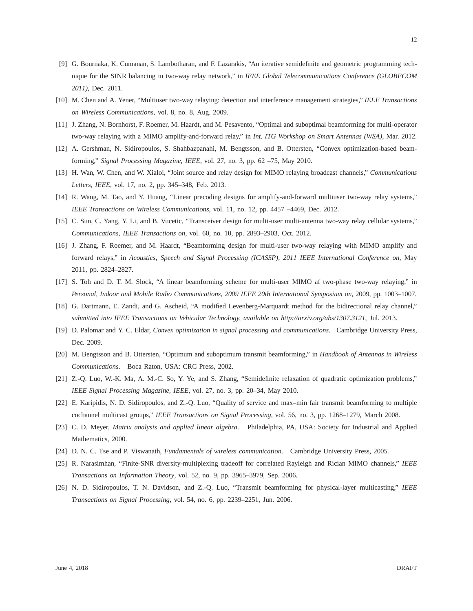- <span id="page-11-0"></span>[9] G. Bournaka, K. Cumanan, S. Lambotharan, and F. Lazarakis, "An iterative semidefinite and geometric programming technique for the SINR balancing in two-way relay network," in *IEEE Global Telecommunications Conference (GLOBECOM 2011)*, Dec. 2011.
- <span id="page-11-2"></span><span id="page-11-1"></span>[10] M. Chen and A. Yener, "Multiuser two-way relaying: detection and interference management strategies," *IEEE Transactions on Wireless Communications*, vol. 8, no. 8, Aug. 2009.
- <span id="page-11-3"></span>[11] J. Zhang, N. Bornhorst, F. Roemer, M. Haardt, and M. Pesavento, "Optimal and suboptimal beamforming for multi-operator two-way relaying with a MIMO amplify-and-forward relay," in *Int. ITG Workshop on Smart Antennas (WSA)*, Mar. 2012.
- <span id="page-11-4"></span>[12] A. Gershman, N. Sidiropoulos, S. Shahbazpanahi, M. Bengtsson, and B. Ottersten, "Convex optimization-based beamforming," *Signal Processing Magazine, IEEE*, vol. 27, no. 3, pp. 62 –75, May 2010.
- [13] H. Wan, W. Chen, and W. Xialoi, "Joint source and relay design for MIMO relaying broadcast channels," *Communications Letters, IEEE*, vol. 17, no. 2, pp. 345–348, Feb. 2013.
- <span id="page-11-7"></span>[14] R. Wang, M. Tao, and Y. Huang, "Linear precoding designs for amplify-and-forward multiuser two-way relay systems," *IEEE Transactions on Wireless Communications*, vol. 11, no. 12, pp. 4457 –4469, Dec. 2012.
- <span id="page-11-6"></span>[15] C. Sun, C. Yang, Y. Li, and B. Vucetic, "Transceiver design for multi-user multi-antenna two-way relay cellular systems," *Communications, IEEE Transactions on*, vol. 60, no. 10, pp. 2893–2903, Oct. 2012.
- [16] J. Zhang, F. Roemer, and M. Haardt, "Beamforming design for multi-user two-way relaying with MIMO amplify and forward relays," in *Acoustics, Speech and Signal Processing (ICASSP), 2011 IEEE International Conference on*, May 2011, pp. 2824–2827.
- <span id="page-11-8"></span><span id="page-11-5"></span>[17] S. Toh and D. T. M. Slock, "A linear beamforming scheme for multi-user MIMO af two-phase two-way relaying," in *Personal, Indoor and Mobile Radio Communications, 2009 IEEE 20th International Symposium on*, 2009, pp. 1003–1007.
- <span id="page-11-9"></span>[18] G. Dartmann, E. Zandi, and G. Ascheid, "A modified Levenberg-Marquardt method for the bidirectional relay channel," *submitted into IEEE Transactions on Vehicular Technology, available on http://arxiv.org/abs/1307.3121*, Jul. 2013.
- <span id="page-11-10"></span>[19] D. Palomar and Y. C. Eldar, *Convex optimization in signal processing and communications*. Cambridge University Press, Dec. 2009.
- <span id="page-11-11"></span>[20] M. Bengtsson and B. Ottersten, "Optimum and suboptimum transmit beamforming," in *Handbook of Antennas in Wireless Communications*. Boca Raton, USA: CRC Press, 2002.
- <span id="page-11-12"></span>[21] Z.-Q. Luo, W.-K. Ma, A. M.-C. So, Y. Ye, and S. Zhang, "Semidefinite relaxation of quadratic optimization problems," *IEEE Signal Processing Magazine, IEEE*, vol. 27, no. 3, pp. 20–34, May 2010.
- <span id="page-11-13"></span>[22] E. Karipidis, N. D. Sidiropoulos, and Z.-Q. Luo, "Quality of service and max–min fair transmit beamforming to multiple cochannel multicast groups," *IEEE Transactions on Signal Processing*, vol. 56, no. 3, pp. 1268–1279, March 2008.
- <span id="page-11-14"></span>[23] C. D. Meyer, *Matrix analysis and applied linear algebra*. Philadelphia, PA, USA: Society for Industrial and Applied Mathematics, 2000.
- <span id="page-11-15"></span>[24] D. N. C. Tse and P. Viswanath, *Fundamentals of wireless communication*. Cambridge University Press, 2005.
- <span id="page-11-16"></span>[25] R. Narasimhan, "Finite-SNR diversity-multiplexing tradeoff for correlated Rayleigh and Rician MIMO channels," *IEEE Transactions on Information Theory*, vol. 52, no. 9, pp. 3965–3979, Sep. 2006.
- [26] N. D. Sidiropoulos, T. N. Davidson, and Z.-Q. Luo, "Transmit beamforming for physical-layer multicasting," *IEEE Transactions on Signal Processing*, vol. 54, no. 6, pp. 2239–2251, Jun. 2006.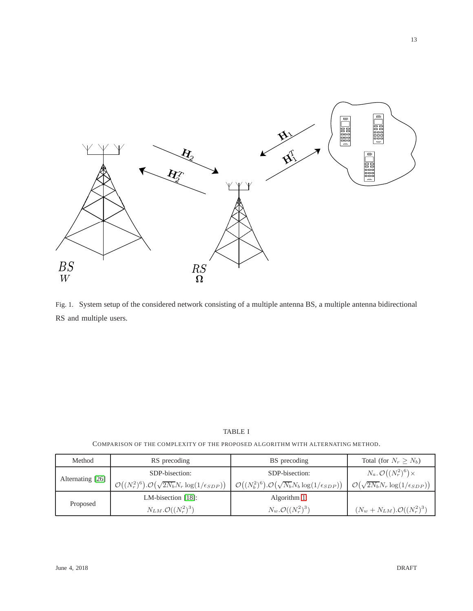

<span id="page-12-0"></span>Fig. 1. System setup of the considered network consisting of a multiple antenna BS, a multiple antenna bidirectional RS and multiple users.

<span id="page-12-1"></span>

| Method           | RS precoding                                                                      | BS precoding                                                                      | Total (for $N_r > N_b$ )                             |
|------------------|-----------------------------------------------------------------------------------|-----------------------------------------------------------------------------------|------------------------------------------------------|
| Alternating [26] | SDP-bisection:                                                                    | SDP-bisection:                                                                    | $N_a$ . $\mathcal{O}((N_r^2)^6) \times$              |
|                  | $\mathcal{O}((N_r^2)^6) \cdot \mathcal{O}(\sqrt{2N_b}N_r \log(1/\epsilon_{SDP}))$ | $\mathcal{O}((N_b^2)^6) \cdot \mathcal{O}(\sqrt{N_b} N_b \log(1/\epsilon_{SDP}))$ | $\mathcal{O}(\sqrt{2N_b}N_r \log(1/\epsilon_{SDP}))$ |
| Proposed         | LM-bisection $[18]$ :                                                             | Algorithm 1:                                                                      |                                                      |
|                  | $N_{LM}.{\cal O}((N_r^2)^3)$                                                      | $N_w.\mathcal{O}((N_r^2)^3)$                                                      | $(N_w + N_{LM}) \cdot \mathcal{O}((N_r^2)^3)$        |

TABLE I

COMPARISON OF THE COMPLEXITY OF THE PROPOSED ALGORITHM WITH ALTERNATING METHOD.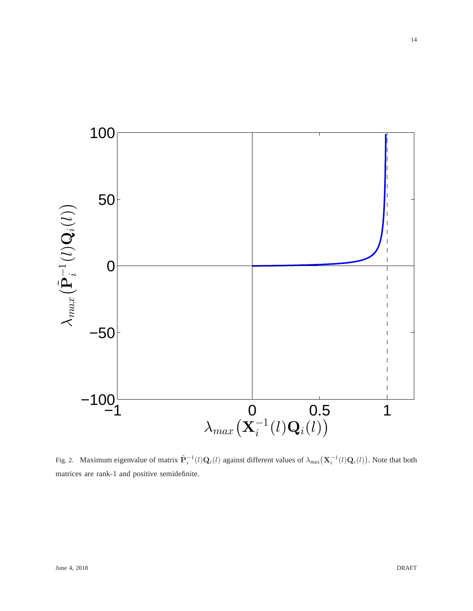

<span id="page-13-0"></span>Fig. 2. Maximum eigenvalue of matrix  $\tilde{P}_i^{-1}(l)Q_i(l)$  against different values of  $\lambda_{\max}(\mathbf{X}_i^{-1}(l)Q_i(l))$ . Note that both matrices are rank-1 and positive semidefinite.

14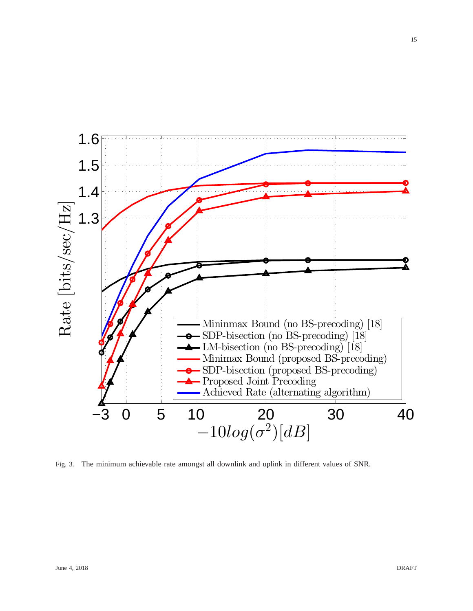

<span id="page-14-0"></span>Fig. 3. The minimum achievable rate amongst all downlink and uplink in different values of SNR.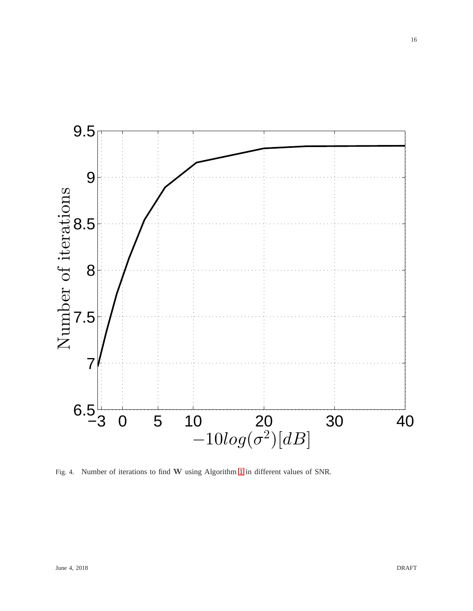

<span id="page-15-0"></span>Fig. 4. Number of iterations to find W using Algorithm [1](#page-17-0) in different values of SNR.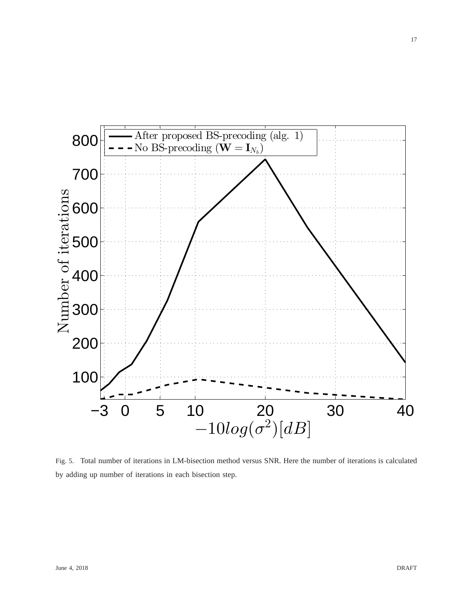

<span id="page-16-0"></span>Fig. 5. Total number of iterations in LM-bisection method versus SNR. Here the number of iterations is calculated by adding up number of iterations in each bisection step.